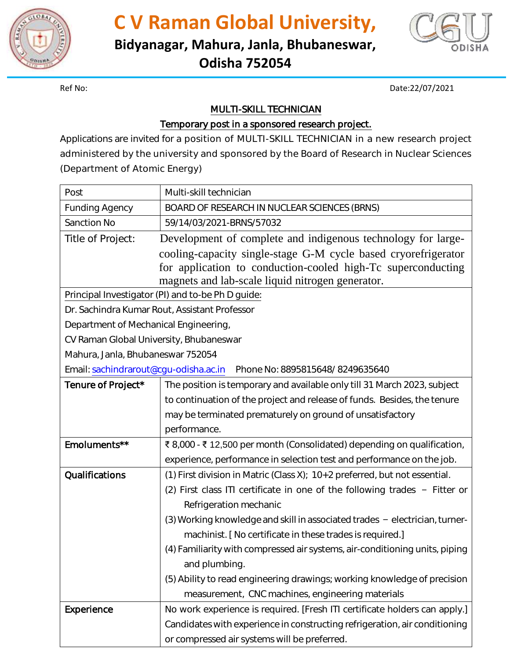

**C V Raman Global University,**

**Bidyanagar, Mahura, Janla, Bhubaneswar,** 

**Odisha 752054**



Ref No: Date:22/07/2021

## MULTI-SKILL TECHNICIAN

## Temporary post in a sponsored research project.

Applications are invited for a position of MULTI-SKILL TECHNICIAN in a new research project administered by the university and sponsored by the Board of Research in Nuclear Sciences (Department of Atomic Energy)

| Post                                                                     | Multi-skill technician                                                          |
|--------------------------------------------------------------------------|---------------------------------------------------------------------------------|
| <b>Funding Agency</b>                                                    | BOARD OF RESEARCH IN NUCLEAR SCIENCES (BRNS)                                    |
| <b>Sanction No</b>                                                       | 59/14/03/2021-BRNS/57032                                                        |
| Title of Project:                                                        | Development of complete and indigenous technology for large-                    |
|                                                                          | cooling-capacity single-stage G-M cycle based cryorefrigerator                  |
|                                                                          | for application to conduction-cooled high-Tc superconducting                    |
|                                                                          | magnets and lab-scale liquid nitrogen generator.                                |
| Principal Investigator (PI) and to-be Ph D guide:                        |                                                                                 |
| Dr. Sachindra Kumar Rout, Assistant Professor                            |                                                                                 |
| Department of Mechanical Engineering,                                    |                                                                                 |
| CV Raman Global University, Bhubaneswar                                  |                                                                                 |
| Mahura, Janla, Bhubaneswar 752054                                        |                                                                                 |
| Email: sachindrarout@cgu-odisha.ac.in<br>Phone No: 8895815648/8249635640 |                                                                                 |
| Tenure of Project*                                                       | The position is temporary and available only till 31 March 2023, subject        |
|                                                                          | to continuation of the project and release of funds. Besides, the tenure        |
|                                                                          | may be terminated prematurely on ground of unsatisfactory                       |
|                                                                          | performance.                                                                    |
| Emoluments**                                                             | ₹8,000 - ₹12,500 per month (Consolidated) depending on qualification,           |
|                                                                          | experience, performance in selection test and performance on the job.           |
| Qualifications                                                           | (1) First division in Matric (Class X); 10+2 preferred, but not essential.      |
|                                                                          | (2) First class ITI certificate in one of the following trades - Fitter or      |
|                                                                          | Refrigeration mechanic                                                          |
|                                                                          | $(3)$ Working knowledge and skill in associated trades $-$ electrician, turner- |
|                                                                          | machinist. [ No certificate in these trades is required.]                       |
|                                                                          | (4) Familiarity with compressed air systems, air-conditioning units, piping     |
|                                                                          | and plumbing.                                                                   |
|                                                                          | (5) Ability to read engineering drawings; working knowledge of precision        |
|                                                                          | measurement, CNC machines, engineering materials                                |
| <b>Experience</b>                                                        | No work experience is required. [Fresh ITI certificate holders can apply.]      |
|                                                                          | Candidates with experience in constructing refrigeration, air conditioning      |
|                                                                          | or compressed air systems will be preferred.                                    |